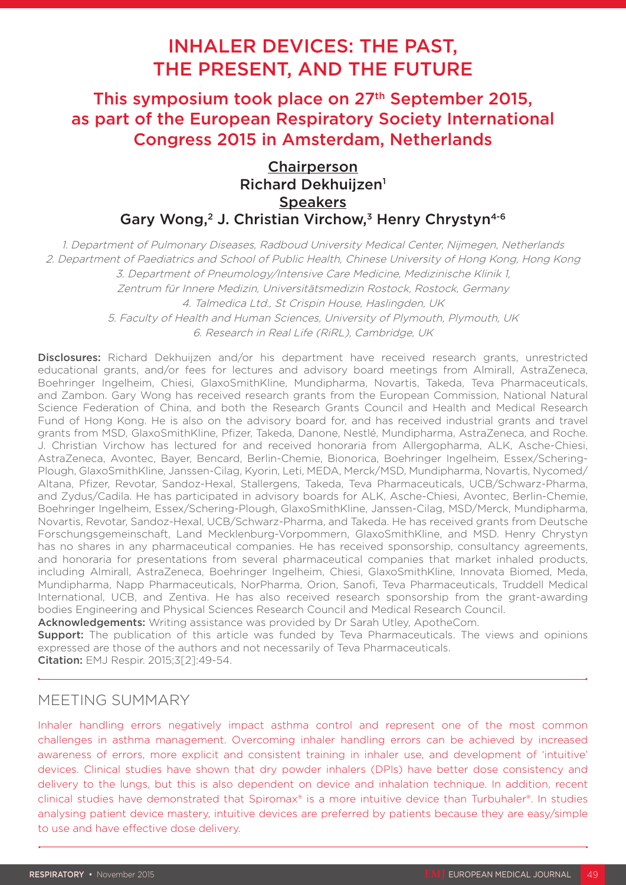# INHALER DEVICES: THE PAST, THE PRESENT, AND THE FUTURE

This symposium took place on 27<sup>th</sup> September 2015, as part of the European Respiratory Society International Congress 2015 in Amsterdam, Netherlands

# **Chairperson** Richard Dekhuiizen<sup>1</sup> **Speakers** Gary Wong,<sup>2</sup> J. Christian Virchow,<sup>3</sup> Henry Chrystyn<sup>4-6</sup>

1. Department of Pulmonary Diseases, Radboud University Medical Center, Nijmegen, Netherlands 2. Department of Paediatrics and School of Public Health, Chinese University of Hong Kong, Hong Kong 3. Department of Pneumology/Intensive Care Medicine, Medizinische Klinik 1, Zentrum für Innere Medizin, Universitätsmedizin Rostock, Rostock, Germany 4. Talmedica Ltd., St Crispin House, Haslingden, UK 5. Faculty of Health and Human Sciences, University of Plymouth, Plymouth, UK 6. Research in Real Life (RiRL), Cambridge, UK

Disclosures: Richard Dekhuijzen and/or his department have received research grants, unrestricted educational grants, and/or fees for lectures and advisory board meetings from Almirall, AstraZeneca, Boehringer Ingelheim, Chiesi, GlaxoSmithKline, Mundipharma, Novartis, Takeda, Teva Pharmaceuticals, and Zambon. Gary Wong has received research grants from the European Commission, National Natural Science Federation of China, and both the Research Grants Council and Health and Medical Research Fund of Hong Kong. He is also on the advisory board for, and has received industrial grants and travel grants from MSD, GlaxoSmithKline, Pfizer, Takeda, Danone, Nestlé, Mundipharma, AstraZeneca, and Roche. J. Christian Virchow has lectured for and received honoraria from Allergopharma, ALK, Asche-Chiesi, AstraZeneca, Avontec, Bayer, Bencard, Berlin-Chemie, Bionorica, Boehringer Ingelheim, Essex/Schering-Plough, GlaxoSmithKline, Janssen-Cilag, Kyorin, Leti, MEDA, Merck/MSD, Mundipharma, Novartis, Nycomed/ Altana, Pfizer, Revotar, Sandoz-Hexal, Stallergens, Takeda, Teva Pharmaceuticals, UCB/Schwarz-Pharma, and Zydus/Cadila. He has participated in advisory boards for ALK, Asche-Chiesi, Avontec, Berlin-Chemie, Boehringer Ingelheim, Essex/Schering-Plough, GlaxoSmithKline, Janssen-Cilag, MSD/Merck, Mundipharma, Novartis, Revotar, Sandoz-Hexal, UCB/Schwarz-Pharma, and Takeda. He has received grants from Deutsche Forschungsgemeinschaft, Land Mecklenburg-Vorpommern, GlaxoSmithKline, and MSD. Henry Chrystyn has no shares in any pharmaceutical companies. He has received sponsorship, consultancy agreements, and honoraria for presentations from several pharmaceutical companies that market inhaled products, including Almirall, AstraZeneca, Boehringer Ingelheim, Chiesi, GlaxoSmithKline, Innovata Biomed, Meda, Mundipharma, Napp Pharmaceuticals, NorPharma, Orion, Sanofi, Teva Pharmaceuticals, Truddell Medical International, UCB, and Zentiva. He has also received research sponsorship from the grant-awarding bodies Engineering and Physical Sciences Research Council and Medical Research Council.

Acknowledgements: Writing assistance was provided by Dr Sarah Utley, ApotheCom.

**Support:** The publication of this article was funded by Teva Pharmaceuticals. The views and opinions expressed are those of the authors and not necessarily of Teva Pharmaceuticals.

Citation: EMJ Respir. 2015;3[2]:49-54.

# MEETING SUMMARY

Inhaler handling errors negatively impact asthma control and represent one of the most common challenges in asthma management. Overcoming inhaler handling errors can be achieved by increased awareness of errors, more explicit and consistent training in inhaler use, and development of 'intuitive' devices. Clinical studies have shown that dry powder inhalers (DPIs) have better dose consistency and delivery to the lungs, but this is also dependent on device and inhalation technique. In addition, recent clinical studies have demonstrated that Spiromax® is a more intuitive device than Turbuhaler®. In studies analysing patient device mastery, intuitive devices are preferred by patients because they are easy/simple to use and have effective dose delivery.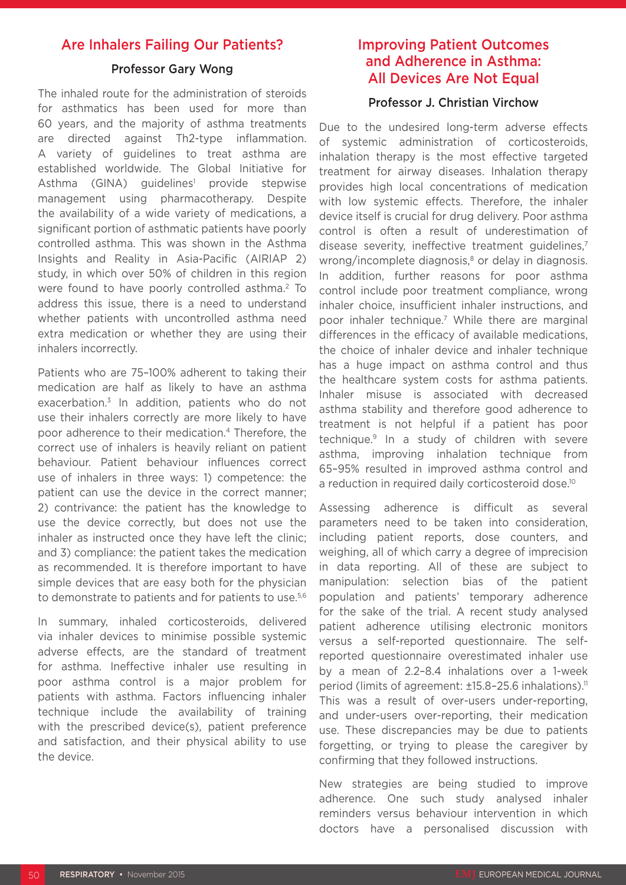# Are Inhalers Failing Our Patients?

## Professor Gary Wong

The inhaled route for the administration of steroids for asthmatics has been used for more than 60 years, and the majority of asthma treatments are directed against Th2-type inflammation. A variety of guidelines to treat asthma are established worldwide. The Global Initiative for Asthma (GINA) guidelines<sup>1</sup> provide stepwise management using pharmacotherapy. Despite the availability of a wide variety of medications, a significant portion of asthmatic patients have poorly controlled asthma. This was shown in the Asthma Insights and Reality in Asia-Pacific (AIRIAP 2) study, in which over 50% of children in this region were found to have poorly controlled asthma.2 To address this issue, there is a need to understand whether patients with uncontrolled asthma need extra medication or whether they are using their inhalers incorrectly.

Patients who are 75–100% adherent to taking their medication are half as likely to have an asthma exacerbation.<sup>3</sup> In addition, patients who do not use their inhalers correctly are more likely to have poor adherence to their medication.4 Therefore, the correct use of inhalers is heavily reliant on patient behaviour. Patient behaviour influences correct use of inhalers in three ways: 1) competence: the patient can use the device in the correct manner; 2) contrivance: the patient has the knowledge to use the device correctly, but does not use the inhaler as instructed once they have left the clinic; and 3) compliance: the patient takes the medication as recommended. It is therefore important to have simple devices that are easy both for the physician to demonstrate to patients and for patients to use.<sup>5,6</sup>

In summary, inhaled corticosteroids, delivered via inhaler devices to minimise possible systemic adverse effects, are the standard of treatment for asthma. Ineffective inhaler use resulting in poor asthma control is a major problem for patients with asthma. Factors influencing inhaler technique include the availability of training with the prescribed device(s), patient preference and satisfaction, and their physical ability to use the device.

# Improving Patient Outcomes and Adherence in Asthma: All Devices Are Not Equal

## Professor J. Christian Virchow

Due to the undesired long-term adverse effects of systemic administration of corticosteroids, inhalation therapy is the most effective targeted treatment for airway diseases. Inhalation therapy provides high local concentrations of medication with low systemic effects. Therefore, the inhaler device itself is crucial for drug delivery. Poor asthma control is often a result of underestimation of disease severity, ineffective treatment guidelines,<sup>7</sup> wrong/incomplete diagnosis,<sup>8</sup> or delay in diagnosis. In addition, further reasons for poor asthma control include poor treatment compliance, wrong inhaler choice, insufficient inhaler instructions, and poor inhaler technique.<sup>7</sup> While there are marginal differences in the efficacy of available medications, the choice of inhaler device and inhaler technique has a huge impact on asthma control and thus the healthcare system costs for asthma patients. Inhaler misuse is associated with decreased asthma stability and therefore good adherence to treatment is not helpful if a patient has poor technique.9 In a study of children with severe asthma, improving inhalation technique from 65–95% resulted in improved asthma control and a reduction in required daily corticosteroid dose.<sup>10</sup>

Assessing adherence is difficult as several parameters need to be taken into consideration, including patient reports, dose counters, and weighing, all of which carry a degree of imprecision in data reporting. All of these are subject to manipulation: selection bias of the patient population and patients' temporary adherence for the sake of the trial. A recent study analysed patient adherence utilising electronic monitors versus a self-reported questionnaire. The selfreported questionnaire overestimated inhaler use by a mean of 2.2–8.4 inhalations over a 1-week period (limits of agreement: ±15.8-25.6 inhalations).<sup>11</sup> This was a result of over-users under-reporting, and under-users over-reporting, their medication use. These discrepancies may be due to patients forgetting, or trying to please the caregiver by confirming that they followed instructions.

New strategies are being studied to improve adherence. One such study analysed inhaler reminders versus behaviour intervention in which doctors have a personalised discussion with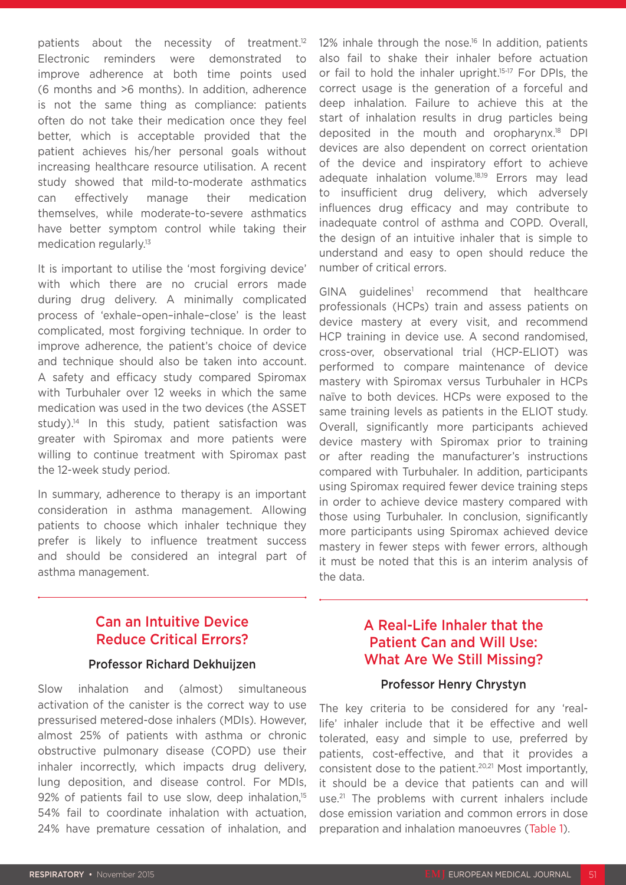patients about the necessity of treatment.<sup>12</sup> Electronic reminders were demonstrated to improve adherence at both time points used (6 months and >6 months). In addition, adherence is not the same thing as compliance: patients often do not take their medication once they feel better, which is acceptable provided that the patient achieves his/her personal goals without increasing healthcare resource utilisation. A recent study showed that mild-to-moderate asthmatics can effectively manage their medication themselves, while moderate-to-severe asthmatics have better symptom control while taking their medication regularly.<sup>13</sup>

It is important to utilise the 'most forgiving device' with which there are no crucial errors made during drug delivery. A minimally complicated process of 'exhale–open–inhale–close' is the least complicated, most forgiving technique. In order to improve adherence, the patient's choice of device and technique should also be taken into account. A safety and efficacy study compared Spiromax with Turbuhaler over 12 weeks in which the same medication was used in the two devices (the ASSET study).<sup>14</sup> In this study, patient satisfaction was greater with Spiromax and more patients were willing to continue treatment with Spiromax past the 12-week study period.

In summary, adherence to therapy is an important consideration in asthma management. Allowing patients to choose which inhaler technique they prefer is likely to influence treatment success and should be considered an integral part of asthma management.

12% inhale through the nose.<sup>16</sup> In addition, patients also fail to shake their inhaler before actuation or fail to hold the inhaler upright.<sup>15-17</sup> For DPIs, the correct usage is the generation of a forceful and deep inhalation. Failure to achieve this at the start of inhalation results in drug particles being deposited in the mouth and oropharynx.18 DPI devices are also dependent on correct orientation of the device and inspiratory effort to achieve adequate inhalation volume.18,19 Errors may lead to insufficient drug delivery, which adversely influences drug efficacy and may contribute to inadequate control of asthma and COPD. Overall, the design of an intuitive inhaler that is simple to understand and easy to open should reduce the number of critical errors.

GINA guidelines<sup>1</sup> recommend that healthcare professionals (HCPs) train and assess patients on device mastery at every visit, and recommend HCP training in device use. A second randomised, cross-over, observational trial (HCP-ELIOT) was performed to compare maintenance of device mastery with Spiromax versus Turbuhaler in HCPs naïve to both devices. HCPs were exposed to the same training levels as patients in the ELIOT study. Overall, significantly more participants achieved device mastery with Spiromax prior to training or after reading the manufacturer's instructions compared with Turbuhaler. In addition, participants using Spiromax required fewer device training steps in order to achieve device mastery compared with those using Turbuhaler. In conclusion, significantly more participants using Spiromax achieved device mastery in fewer steps with fewer errors, although it must be noted that this is an interim analysis of the data.

# Can an Intuitive Device Reduce Critical Errors?

## Professor Richard Dekhuijzen

Slow inhalation and (almost) simultaneous activation of the canister is the correct way to use pressurised metered-dose inhalers (MDIs). However, almost 25% of patients with asthma or chronic obstructive pulmonary disease (COPD) use their inhaler incorrectly, which impacts drug delivery, lung deposition, and disease control. For MDIs, 92% of patients fail to use slow, deep inhalation,<sup>15</sup> 54% fail to coordinate inhalation with actuation, 24% have premature cessation of inhalation, and

# A Real-Life Inhaler that the Patient Can and Will Use: What Are We Still Missing?

## Professor Henry Chrystyn

The key criteria to be considered for any 'reallife' inhaler include that it be effective and well tolerated, easy and simple to use, preferred by patients, cost-effective, and that it provides a consistent dose to the patient.20,21 Most importantly, it should be a device that patients can and will use.21 The problems with current inhalers include dose emission variation and common errors in dose preparation and inhalation manoeuvres (Table 1).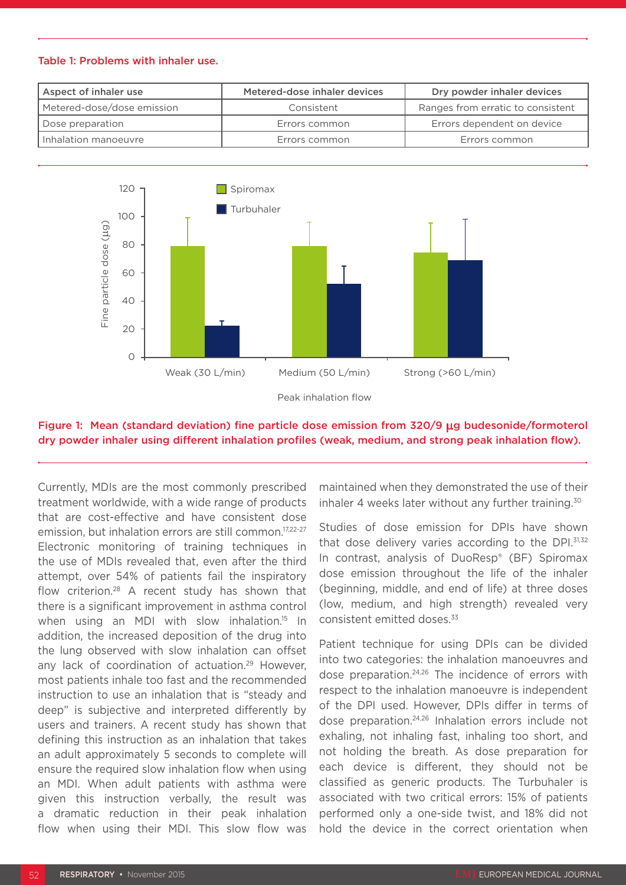#### Table 1: Problems with inhaler use.

| Aspect of inhaler use      | Metered-dose inhaler devices | Dry powder inhaler devices        |
|----------------------------|------------------------------|-----------------------------------|
| Metered-dose/dose emission | Consistent                   | Ranges from erratic to consistent |
| Dose preparation           | Errors common                | Errors dependent on device        |
| I Inhalation manoeuvre     | Errors common                | Errors common                     |



# Figure 1: Mean (standard deviation) fine particle dose emission from 320/9 µg budesonide/formoterol

Currently, MDIs are the most commonly prescribed treatment worldwide, with a wide range of products that are cost-effective and have consistent dose emission, but inhalation errors are still common.<sup>17,22-27</sup> Electronic monitoring of training techniques in the use of MDIs revealed that, even after the third attempt, over 54% of patients fail the inspiratory flow criterion.28 A recent study has shown that there is a significant improvement in asthma control when using an MDI with slow inhalation.<sup>15</sup> In addition, the increased deposition of the drug into the lung observed with slow inhalation can offset any lack of coordination of actuation.<sup>29</sup> However, most patients inhale too fast and the recommended instruction to use an inhalation that is "steady and deep" is subjective and interpreted differently by users and trainers. A recent study has shown that defining this instruction as an inhalation that takes an adult approximately 5 seconds to complete will ensure the required slow inhalation flow when using an MDI. When adult patients with asthma were given this instruction verbally, the result was a dramatic reduction in their peak inhalation flow when using their MDI. This slow flow was

maintained when they demonstrated the use of their inhaler 4 weeks later without any further training.<sup>30</sup>

Studies of dose emission for DPIs have shown that dose delivery varies according to the DPI.<sup>31,32</sup> In contrast, analysis of DuoResp® (BF) Spiromax dose emission throughout the life of the inhaler (beginning, middle, and end of life) at three doses (low, medium, and high strength) revealed very consistent emitted doses.33

Patient technique for using DPIs can be divided into two categories: the inhalation manoeuvres and dose preparation.24,26 The incidence of errors with respect to the inhalation manoeuvre is independent of the DPI used. However, DPIs differ in terms of dose preparation.24,26 Inhalation errors include not exhaling, not inhaling fast, inhaling too short, and not holding the breath. As dose preparation for each device is different, they should not be classified as generic products. The Turbuhaler is associated with two critical errors: 15% of patients performed only a one-side twist, and 18% did not hold the device in the correct orientation when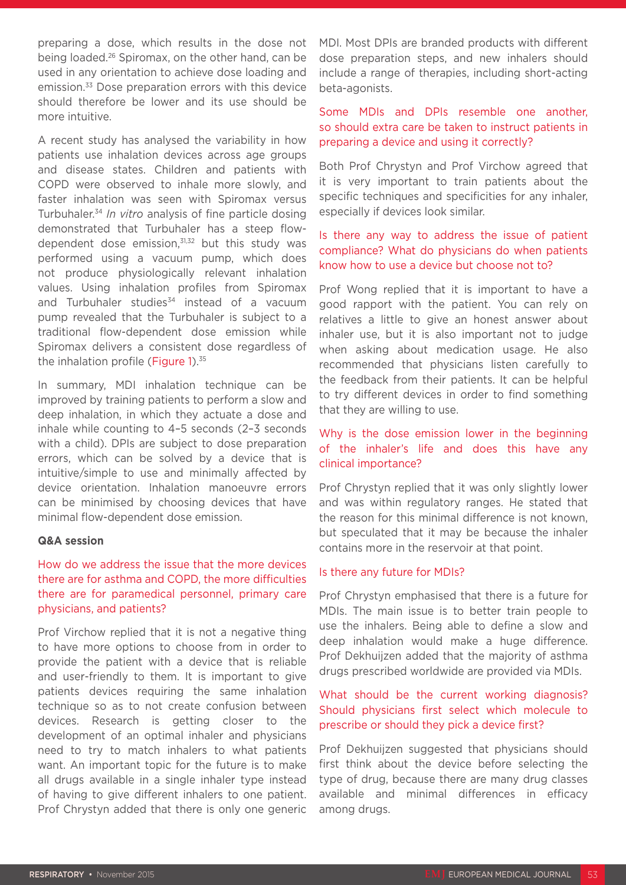preparing a dose, which results in the dose not being loaded.26 Spiromax, on the other hand, can be used in any orientation to achieve dose loading and emission.33 Dose preparation errors with this device should therefore be lower and its use should be more intuitive.

A recent study has analysed the variability in how patients use inhalation devices across age groups and disease states. Children and patients with COPD were observed to inhale more slowly, and faster inhalation was seen with Spiromax versus Turbuhaler.34 *In vitro* analysis of fine particle dosing demonstrated that Turbuhaler has a steep flowdependent dose emission, $31,32$  but this study was performed using a vacuum pump, which does not produce physiologically relevant inhalation values. Using inhalation profiles from Spiromax and Turbuhaler studies<sup>34</sup> instead of a vacuum pump revealed that the Turbuhaler is subject to a traditional flow-dependent dose emission while Spiromax delivers a consistent dose regardless of the inhalation profile (Figure 1).<sup>35</sup>

In summary, MDI inhalation technique can be improved by training patients to perform a slow and deep inhalation, in which they actuate a dose and inhale while counting to 4–5 seconds (2–3 seconds with a child). DPIs are subject to dose preparation errors, which can be solved by a device that is intuitive/simple to use and minimally affected by device orientation. Inhalation manoeuvre errors can be minimised by choosing devices that have minimal flow-dependent dose emission.

#### **Q&A session**

# How do we address the issue that the more devices there are for asthma and COPD, the more difficulties there are for paramedical personnel, primary care physicians, and patients?

Prof Virchow replied that it is not a negative thing to have more options to choose from in order to provide the patient with a device that is reliable and user-friendly to them. It is important to give patients devices requiring the same inhalation technique so as to not create confusion between devices. Research is getting closer to the development of an optimal inhaler and physicians need to try to match inhalers to what patients want. An important topic for the future is to make all drugs available in a single inhaler type instead of having to give different inhalers to one patient. Prof Chrystyn added that there is only one generic MDI. Most DPIs are branded products with different dose preparation steps, and new inhalers should include a range of therapies, including short-acting beta-agonists.

# Some MDIs and DPIs resemble one another, so should extra care be taken to instruct patients in preparing a device and using it correctly?

Both Prof Chrystyn and Prof Virchow agreed that it is very important to train patients about the specific techniques and specificities for any inhaler, especially if devices look similar.

# Is there any way to address the issue of patient compliance? What do physicians do when patients know how to use a device but choose not to?

Prof Wong replied that it is important to have a good rapport with the patient. You can rely on relatives a little to give an honest answer about inhaler use, but it is also important not to judge when asking about medication usage. He also recommended that physicians listen carefully to the feedback from their patients. It can be helpful to try different devices in order to find something that they are willing to use.

# Why is the dose emission lower in the beginning of the inhaler's life and does this have any clinical importance?

Prof Chrystyn replied that it was only slightly lower and was within regulatory ranges. He stated that the reason for this minimal difference is not known, but speculated that it may be because the inhaler contains more in the reservoir at that point.

### Is there any future for MDIs?

Prof Chrystyn emphasised that there is a future for MDIs. The main issue is to better train people to use the inhalers. Being able to define a slow and deep inhalation would make a huge difference. Prof Dekhuijzen added that the majority of asthma drugs prescribed worldwide are provided via MDIs.

# What should be the current working diagnosis? Should physicians first select which molecule to prescribe or should they pick a device first?

Prof Dekhuijzen suggested that physicians should first think about the device before selecting the type of drug, because there are many drug classes available and minimal differences in efficacy among drugs.